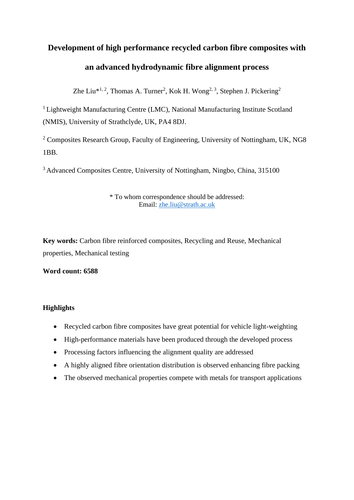# **Development of high performance recycled carbon fibre composites with an advanced hydrodynamic fibre alignment process**

Zhe Liu<sup>\*1, 2</sup>, Thomas A. Turner<sup>2</sup>, Kok H. Wong<sup>2, 3</sup>, Stephen J. Pickering<sup>2</sup>

<sup>1</sup> Lightweight Manufacturing Centre (LMC), National Manufacturing Institute Scotland (NMIS), University of Strathclyde, UK, PA4 8DJ.

<sup>2</sup> Composites Research Group, Faculty of Engineering, University of Nottingham, UK, NG8 1BB.

<sup>3</sup> Advanced Composites Centre, University of Nottingham, Ningbo, China, 315100

#### \* To whom correspondence should be addressed: Email: [zhe.liu@strath.ac.uk](mailto:zhe.liu@strath.ac.uk)

**Key words:** Carbon fibre reinforced composites, Recycling and Reuse, Mechanical properties, Mechanical testing

**Word count: 6588**

### **Highlights**

- Recycled carbon fibre composites have great potential for vehicle light-weighting
- High-performance materials have been produced through the developed process
- Processing factors influencing the alignment quality are addressed
- A highly aligned fibre orientation distribution is observed enhancing fibre packing
- The observed mechanical properties compete with metals for transport applications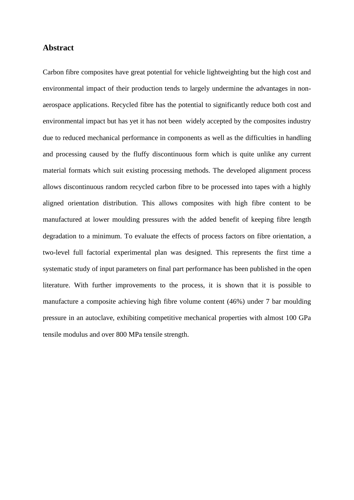#### **Abstract**

Carbon fibre composites have great potential for vehicle lightweighting but the high cost and environmental impact of their production tends to largely undermine the advantages in nonaerospace applications. Recycled fibre has the potential to significantly reduce both cost and environmental impact but has yet it has not been widely accepted by the composites industry due to reduced mechanical performance in components as well as the difficulties in handling and processing caused by the fluffy discontinuous form which is quite unlike any current material formats which suit existing processing methods. The developed alignment process allows discontinuous random recycled carbon fibre to be processed into tapes with a highly aligned orientation distribution. This allows composites with high fibre content to be manufactured at lower moulding pressures with the added benefit of keeping fibre length degradation to a minimum. To evaluate the effects of process factors on fibre orientation, a two-level full factorial experimental plan was designed. This represents the first time a systematic study of input parameters on final part performance has been published in the open literature. With further improvements to the process, it is shown that it is possible to manufacture a composite achieving high fibre volume content (46%) under 7 bar moulding pressure in an autoclave, exhibiting competitive mechanical properties with almost 100 GPa tensile modulus and over 800 MPa tensile strength.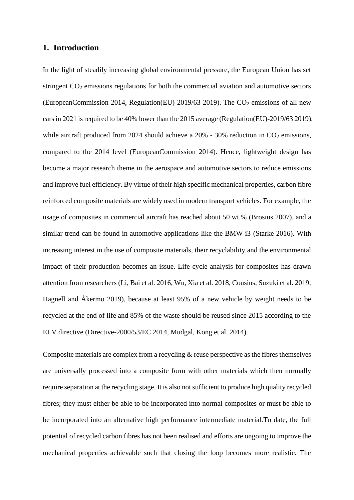#### **1. Introduction**

In the light of steadily increasing global environmental pressure, the European Union has set stringent  $CO<sub>2</sub>$  emissions regulations for both the commercial aviation and automotive sectors (EuropeanCommission 2014, Regulation(EU)-2019/63 2019). The  $CO<sub>2</sub>$  emissions of all new cars in 2021 is required to be 40% lower than the 2015 average (Regulation(EU)-2019/63 2019), while aircraft produced from 2024 should achieve a  $20\%$  - 30% reduction in  $CO<sub>2</sub>$  emissions, compared to the 2014 level (EuropeanCommission 2014). Hence, lightweight design has become a major research theme in the aerospace and automotive sectors to reduce emissions and improve fuel efficiency. By virtue of their high specific mechanical properties, carbon fibre reinforced composite materials are widely used in modern transport vehicles. For example, the usage of composites in commercial aircraft has reached about 50 wt.% (Brosius 2007), and a similar trend can be found in automotive applications like the BMW i3 (Starke 2016). With increasing interest in the use of composite materials, their recyclability and the environmental impact of their production becomes an issue. Life cycle analysis for composites has drawn attention from researchers (Li, Bai et al. 2016, Wu, Xia et al. 2018, Cousins, Suzuki et al. 2019, Hagnell and Åkermo 2019), because at least 95% of a new vehicle by weight needs to be recycled at the end of life and 85% of the waste should be reused since 2015 according to the ELV directive (Directive-2000/53/EC 2014, Mudgal, Kong et al. 2014).

Composite materials are complex from a recycling & reuse perspective as the fibres themselves are universally processed into a composite form with other materials which then normally require separation at the recycling stage. It is also not sufficient to produce high quality recycled fibres; they must either be able to be incorporated into normal composites or must be able to be incorporated into an alternative high performance intermediate material.To date, the full potential of recycled carbon fibres has not been realised and efforts are ongoing to improve the mechanical properties achievable such that closing the loop becomes more realistic. The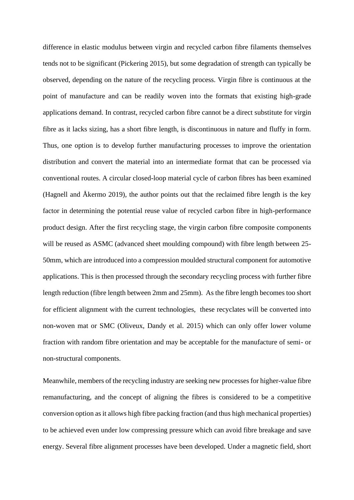difference in elastic modulus between virgin and recycled carbon fibre filaments themselves tends not to be significant (Pickering 2015), but some degradation of strength can typically be observed, depending on the nature of the recycling process. Virgin fibre is continuous at the point of manufacture and can be readily woven into the formats that existing high-grade applications demand. In contrast, recycled carbon fibre cannot be a direct substitute for virgin fibre as it lacks sizing, has a short fibre length, is discontinuous in nature and fluffy in form. Thus, one option is to develop further manufacturing processes to improve the orientation distribution and convert the material into an intermediate format that can be processed via conventional routes. A circular closed-loop material cycle of carbon fibres has been examined (Hagnell and Åkermo 2019), the author points out that the reclaimed fibre length is the key factor in determining the potential reuse value of recycled carbon fibre in high-performance product design. After the first recycling stage, the virgin carbon fibre composite components will be reused as ASMC (advanced sheet moulding compound) with fibre length between 25-50mm, which are introduced into a compression moulded structural component for automotive applications. This is then processed through the secondary recycling process with further fibre length reduction (fibre length between 2mm and 25mm). As the fibre length becomes too short for efficient alignment with the current technologies, these recyclates will be converted into non-woven mat or SMC (Oliveux, Dandy et al. 2015) which can only offer lower volume fraction with random fibre orientation and may be acceptable for the manufacture of semi- or non-structural components.

Meanwhile, members of the recycling industry are seeking new processes for higher-value fibre remanufacturing, and the concept of aligning the fibres is considered to be a competitive conversion option as it allows high fibre packing fraction (and thus high mechanical properties) to be achieved even under low compressing pressure which can avoid fibre breakage and save energy. Several fibre alignment processes have been developed. Under a magnetic field, short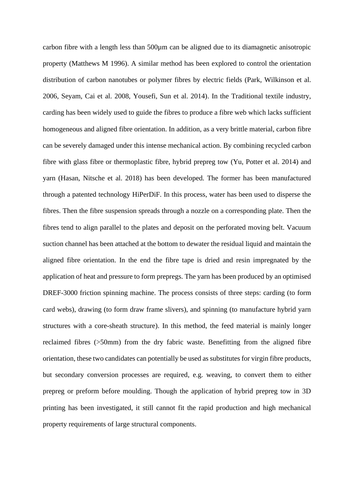carbon fibre with a length less than 500µm can be aligned due to its diamagnetic anisotropic property (Matthews M 1996). A similar method has been explored to control the orientation distribution of carbon nanotubes or polymer fibres by electric fields (Park, Wilkinson et al. 2006, Seyam, Cai et al. 2008, Yousefi, Sun et al. 2014). In the Traditional textile industry, carding has been widely used to guide the fibres to produce a fibre web which lacks sufficient homogeneous and aligned fibre orientation. In addition, as a very brittle material, carbon fibre can be severely damaged under this intense mechanical action. By combining recycled carbon fibre with glass fibre or thermoplastic fibre, hybrid prepreg tow (Yu, Potter et al. 2014) and yarn (Hasan, Nitsche et al. 2018) has been developed. The former has been manufactured through a patented technology HiPerDiF. In this process, water has been used to disperse the fibres. Then the fibre suspension spreads through a nozzle on a corresponding plate. Then the fibres tend to align parallel to the plates and deposit on the perforated moving belt. Vacuum suction channel has been attached at the bottom to dewater the residual liquid and maintain the aligned fibre orientation. In the end the fibre tape is dried and resin impregnated by the application of heat and pressure to form prepregs. The yarn has been produced by an optimised DREF-3000 friction spinning machine. The process consists of three steps: carding (to form card webs), drawing (to form draw frame slivers), and spinning (to manufacture hybrid yarn structures with a core-sheath structure). In this method, the feed material is mainly longer reclaimed fibres (>50mm) from the dry fabric waste. Benefitting from the aligned fibre orientation, these two candidates can potentially be used as substitutes for virgin fibre products, but secondary conversion processes are required, e.g. weaving, to convert them to either prepreg or preform before moulding. Though the application of hybrid prepreg tow in 3D printing has been investigated, it still cannot fit the rapid production and high mechanical property requirements of large structural components.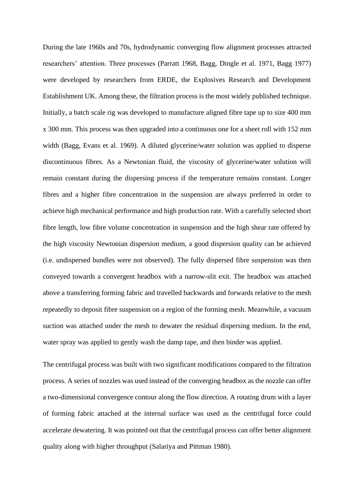During the late 1960s and 70s, hydrodynamic converging flow alignment processes attracted researchers' attention. Three processes (Parratt 1968, Bagg, Dingle et al. 1971, Bagg 1977) were developed by researchers from ERDE, the Explosives Research and Development Establishment UK. Among these, the filtration process is the most widely published technique. Initially, a batch scale rig was developed to manufacture aligned fibre tape up to size 400 mm x 300 mm. This process was then upgraded into a continuous one for a sheet roll with 152 mm width (Bagg, Evans et al. 1969). A diluted glycerine/water solution was applied to disperse discontinuous fibres. As a Newtonian fluid, the viscosity of glycerine/water solution will remain constant during the dispersing process if the temperature remains constant. Longer fibres and a higher fibre concentration in the suspension are always preferred in order to achieve high mechanical performance and high production rate. With a carefully selected short fibre length, low fibre volume concentration in suspension and the high shear rate offered by the high viscosity Newtonian dispersion medium, a good dispersion quality can be achieved (i.e. undispersed bundles were not observed). The fully dispersed fibre suspension was then conveyed towards a convergent headbox with a narrow-slit exit. The headbox was attached above a transferring forming fabric and travelled backwards and forwards relative to the mesh repeatedly to deposit fibre suspension on a region of the forming mesh. Meanwhile, a vacuum suction was attached under the mesh to dewater the residual dispersing medium. In the end, water spray was applied to gently wash the damp tape, and then binder was applied.

The centrifugal process was built with two significant modifications compared to the filtration process. A series of nozzles was used instead of the converging headbox as the nozzle can offer a two-dimensional convergence contour along the flow direction. A rotating drum with a layer of forming fabric attached at the internal surface was used as the centrifugal force could accelerate dewatering. It was pointed out that the centrifugal process can offer better alignment quality along with higher throughput (Salariya and Pittman 1980).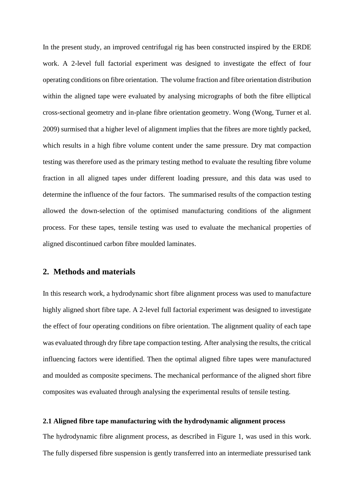In the present study, an improved centrifugal rig has been constructed inspired by the ERDE work. A 2-level full factorial experiment was designed to investigate the effect of four operating conditions on fibre orientation. The volume fraction and fibre orientation distribution within the aligned tape were evaluated by analysing micrographs of both the fibre elliptical cross-sectional geometry and in-plane fibre orientation geometry. Wong (Wong, Turner et al. 2009) surmised that a higher level of alignment implies that the fibres are more tightly packed, which results in a high fibre volume content under the same pressure. Dry mat compaction testing was therefore used as the primary testing method to evaluate the resulting fibre volume fraction in all aligned tapes under different loading pressure, and this data was used to determine the influence of the four factors. The summarised results of the compaction testing allowed the down-selection of the optimised manufacturing conditions of the alignment process. For these tapes, tensile testing was used to evaluate the mechanical properties of aligned discontinued carbon fibre moulded laminates.

#### **2. Methods and materials**

In this research work, a hydrodynamic short fibre alignment process was used to manufacture highly aligned short fibre tape. A 2-level full factorial experiment was designed to investigate the effect of four operating conditions on fibre orientation. The alignment quality of each tape was evaluated through dry fibre tape compaction testing. After analysing the results, the critical influencing factors were identified. Then the optimal aligned fibre tapes were manufactured and moulded as composite specimens. The mechanical performance of the aligned short fibre composites was evaluated through analysing the experimental results of tensile testing.

#### **2.1 Aligned fibre tape manufacturing with the hydrodynamic alignment process**

The hydrodynamic fibre alignment process, as described in [Figure 1,](#page-20-0) was used in this work. The fully dispersed fibre suspension is gently transferred into an intermediate pressurised tank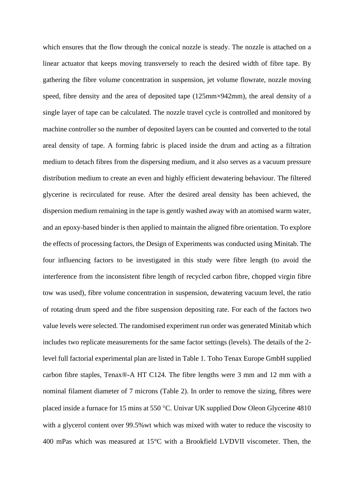which ensures that the flow through the conical nozzle is steady. The nozzle is attached on a linear actuator that keeps moving transversely to reach the desired width of fibre tape. By gathering the fibre volume concentration in suspension, jet volume flowrate, nozzle moving speed, fibre density and the area of deposited tape (125mm×942mm), the areal density of a single layer of tape can be calculated. The nozzle travel cycle is controlled and monitored by machine controller so the number of deposited layers can be counted and converted to the total areal density of tape. A forming fabric is placed inside the drum and acting as a filtration medium to detach fibres from the dispersing medium, and it also serves as a vacuum pressure distribution medium to create an even and highly efficient dewatering behaviour. The filtered glycerine is recirculated for reuse. After the desired areal density has been achieved, the dispersion medium remaining in the tape is gently washed away with an atomised warm water, and an epoxy-based binder is then applied to maintain the aligned fibre orientation. To explore the effects of processing factors, the Design of Experiments was conducted using Minitab. The four influencing factors to be investigated in this study were fibre length (to avoid the interference from the inconsistent fibre length of recycled carbon fibre, chopped virgin fibre tow was used), fibre volume concentration in suspension, dewatering vacuum level, the ratio of rotating drum speed and the fibre suspension depositing rate. For each of the factors two value levels were selected. The randomised experiment run order was generated Minitab which includes two replicate measurements for the same factor settings (levels). The details of the 2 level full factorial experimental plan are listed in Table 1. Toho Tenax Europe GmbH supplied carbon fibre staples, Tenax®-A HT C124. The fibre lengths were 3 mm and 12 mm with a nominal filament diameter of 7 microns (Table 2). In order to remove the sizing, fibres were placed inside a furnace for 15 mins at 550 °C. Univar UK supplied Dow Oleon Glycerine 4810 with a glycerol content over 99.5%wt which was mixed with water to reduce the viscosity to 400 mPas which was measured at 15°C with a Brookfield LVDVII viscometer. Then, the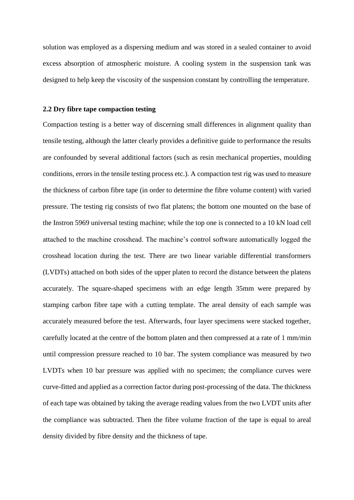solution was employed as a dispersing medium and was stored in a sealed container to avoid excess absorption of atmospheric moisture. A cooling system in the suspension tank was designed to help keep the viscosity of the suspension constant by controlling the temperature.

#### **2.2 Dry fibre tape compaction testing**

Compaction testing is a better way of discerning small differences in alignment quality than tensile testing, although the latter clearly provides a definitive guide to performance the results are confounded by several additional factors (such as resin mechanical properties, moulding conditions, errors in the tensile testing process etc.). A compaction test rig was used to measure the thickness of carbon fibre tape (in order to determine the fibre volume content) with varied pressure. The testing rig consists of two flat platens; the bottom one mounted on the base of the Instron 5969 universal testing machine; while the top one is connected to a 10 kN load cell attached to the machine crosshead. The machine's control software automatically logged the crosshead location during the test. There are two linear variable differential transformers (LVDTs) attached on both sides of the upper platen to record the distance between the platens accurately. The square-shaped specimens with an edge length 35mm were prepared by stamping carbon fibre tape with a cutting template. The areal density of each sample was accurately measured before the test. Afterwards, four layer specimens were stacked together, carefully located at the centre of the bottom platen and then compressed at a rate of 1 mm/min until compression pressure reached to 10 bar. The system compliance was measured by two LVDTs when 10 bar pressure was applied with no specimen; the compliance curves were curve-fitted and applied as a correction factor during post-processing of the data. The thickness of each tape was obtained by taking the average reading values from the two LVDT units after the compliance was subtracted. Then the fibre volume fraction of the tape is equal to areal density divided by fibre density and the thickness of tape.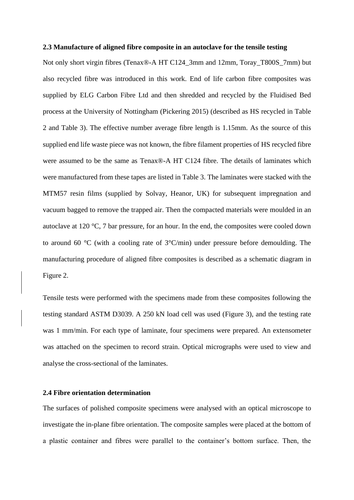#### **2.3 Manufacture of aligned fibre composite in an autoclave for the tensile testing**

Not only short virgin fibres (Tenax®-A HT C124\_3mm and 12mm, Toray\_T800S\_7mm) but also recycled fibre was introduced in this work. End of life carbon fibre composites was supplied by ELG Carbon Fibre Ltd and then shredded and recycled by the Fluidised Bed process at the University of Nottingham (Pickering 2015) (described as HS recycled in Table 2 and Table 3). The effective number average fibre length is 1.15mm. As the source of this supplied end life waste piece was not known, the fibre filament properties of HS recycled fibre were assumed to be the same as Tenax®-A HT C124 fibre. The details of laminates which were manufactured from these tapes are listed in Table 3. The laminates were stacked with the MTM57 resin films (supplied by Solvay, Heanor, UK) for subsequent impregnation and vacuum bagged to remove the trapped air. Then the compacted materials were moulded in an autoclave at 120 °C, 7 bar pressure, for an hour. In the end, the composites were cooled down to around 60 °C (with a cooling rate of 3°C/min) under pressure before demoulding. The manufacturing procedure of aligned fibre composites is described as a schematic diagram in [Figure 2.](#page-21-0)

Tensile tests were performed with the specimens made from these composites following the testing standard ASTM D3039. A 250 kN load cell was used [\(Figure 3\)](#page-21-1), and the testing rate was 1 mm/min. For each type of laminate, four specimens were prepared. An extensometer was attached on the specimen to record strain. Optical micrographs were used to view and analyse the cross-sectional of the laminates.

#### **2.4 Fibre orientation determination**

The surfaces of polished composite specimens were analysed with an optical microscope to investigate the in-plane fibre orientation. The composite samples were placed at the bottom of a plastic container and fibres were parallel to the container's bottom surface. Then, the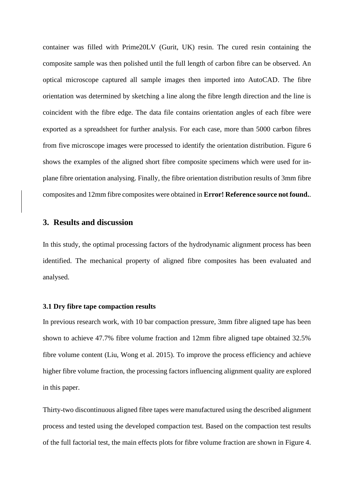container was filled with Prime20LV (Gurit, UK) resin. The cured resin containing the composite sample was then polished until the full length of carbon fibre can be observed. An optical microscope captured all sample images then imported into AutoCAD. The fibre orientation was determined by sketching a line along the fibre length direction and the line is coincident with the fibre edge. The data file contains orientation angles of each fibre were exported as a spreadsheet for further analysis. For each case, more than 5000 carbon fibres from five microscope images were processed to identify the orientation distribution. [Figure 6](#page-24-0) shows the examples of the aligned short fibre composite specimens which were used for inplane fibre orientation analysing. Finally, the fibre orientation distribution results of 3mm fibre composites and 12mm fibre composites were obtained in **Error! Reference source not found.**.

#### **3. Results and discussion**

In this study, the optimal processing factors of the hydrodynamic alignment process has been identified. The mechanical property of aligned fibre composites has been evaluated and analysed.

#### **3.1 Dry fibre tape compaction results**

In previous research work, with 10 bar compaction pressure, 3mm fibre aligned tape has been shown to achieve 47.7% fibre volume fraction and 12mm fibre aligned tape obtained 32.5% fibre volume content (Liu, Wong et al. 2015). To improve the process efficiency and achieve higher fibre volume fraction, the processing factors influencing alignment quality are explored in this paper.

Thirty-two discontinuous aligned fibre tapes were manufactured using the described alignment process and tested using the developed compaction test. Based on the compaction test results of the full factorial test, the main effects plots for fibre volume fraction are shown in Figure 4.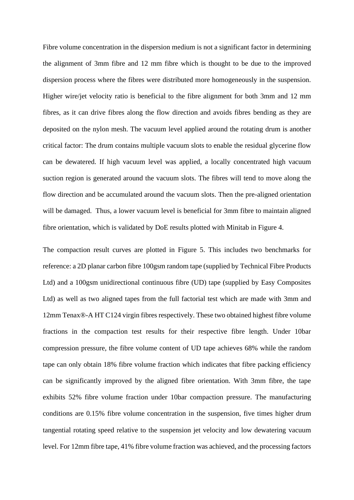Fibre volume concentration in the dispersion medium is not a significant factor in determining the alignment of 3mm fibre and 12 mm fibre which is thought to be due to the improved dispersion process where the fibres were distributed more homogeneously in the suspension. Higher wire/jet velocity ratio is beneficial to the fibre alignment for both 3mm and 12 mm fibres, as it can drive fibres along the flow direction and avoids fibres bending as they are deposited on the nylon mesh. The vacuum level applied around the rotating drum is another critical factor: The drum contains multiple vacuum slots to enable the residual glycerine flow can be dewatered. If high vacuum level was applied, a locally concentrated high vacuum suction region is generated around the vacuum slots. The fibres will tend to move along the flow direction and be accumulated around the vacuum slots. Then the pre-aligned orientation will be damaged. Thus, a lower vacuum level is beneficial for 3mm fibre to maintain aligned fibre orientation, which is validated by DoE results plotted with Minitab in Figure 4.

The compaction result curves are plotted in Figure 5. This includes two benchmarks for reference: a 2D planar carbon fibre 100gsm random tape (supplied by Technical Fibre Products Ltd) and a 100gsm unidirectional continuous fibre (UD) tape (supplied by Easy Composites Ltd) as well as two aligned tapes from the full factorial test which are made with 3mm and 12mm Tenax®-A HT C124 virgin fibres respectively. These two obtained highest fibre volume fractions in the compaction test results for their respective fibre length. Under 10bar compression pressure, the fibre volume content of UD tape achieves 68% while the random tape can only obtain 18% fibre volume fraction which indicates that fibre packing efficiency can be significantly improved by the aligned fibre orientation. With 3mm fibre, the tape exhibits 52% fibre volume fraction under 10bar compaction pressure. The manufacturing conditions are 0.15% fibre volume concentration in the suspension, five times higher drum tangential rotating speed relative to the suspension jet velocity and low dewatering vacuum level. For 12mm fibre tape, 41% fibre volume fraction was achieved, and the processing factors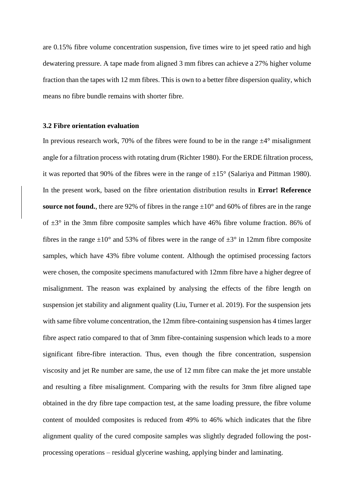are 0.15% fibre volume concentration suspension, five times wire to jet speed ratio and high dewatering pressure. A tape made from aligned 3 mm fibres can achieve a 27% higher volume fraction than the tapes with 12 mm fibres. This is own to a better fibre dispersion quality, which means no fibre bundle remains with shorter fibre.

#### **3.2 Fibre orientation evaluation**

In previous research work, 70% of the fibres were found to be in the range  $\pm 4^{\circ}$  misalignment angle for a filtration process with rotating drum (Richter 1980). For the ERDE filtration process, it was reported that 90% of the fibres were in the range of  $\pm 15^{\circ}$  (Salariya and Pittman 1980). In the present work, based on the fibre orientation distribution results in **Error! Reference source not found.**, there are 92% of fibres in the range  $\pm 10^{\circ}$  and 60% of fibres are in the range of  $\pm 3^{\circ}$  in the 3mm fibre composite samples which have 46% fibre volume fraction. 86% of fibres in the range  $\pm 10^{\circ}$  and 53% of fibres were in the range of  $\pm 3^{\circ}$  in 12mm fibre composite samples, which have 43% fibre volume content. Although the optimised processing factors were chosen, the composite specimens manufactured with 12mm fibre have a higher degree of misalignment. The reason was explained by analysing the effects of the fibre length on suspension jet stability and alignment quality (Liu, Turner et al. 2019). For the suspension jets with same fibre volume concentration, the 12mm fibre-containing suspension has 4 times larger fibre aspect ratio compared to that of 3mm fibre-containing suspension which leads to a more significant fibre-fibre interaction. Thus, even though the fibre concentration, suspension viscosity and jet Re number are same, the use of 12 mm fibre can make the jet more unstable and resulting a fibre misalignment. Comparing with the results for 3mm fibre aligned tape obtained in the dry fibre tape compaction test, at the same loading pressure, the fibre volume content of moulded composites is reduced from 49% to 46% which indicates that the fibre alignment quality of the cured composite samples was slightly degraded following the postprocessing operations – residual glycerine washing, applying binder and laminating.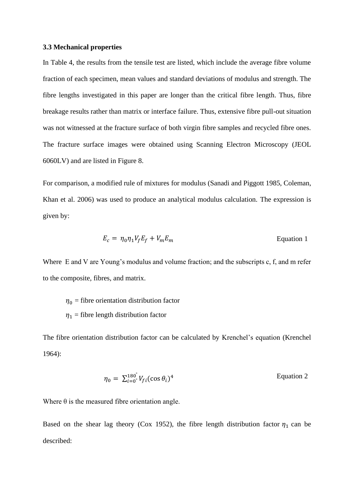#### **3.3 Mechanical properties**

In Table 4, the results from the tensile test are listed, which include the average fibre volume fraction of each specimen, mean values and standard deviations of modulus and strength. The fibre lengths investigated in this paper are longer than the critical fibre length. Thus, fibre breakage results rather than matrix or interface failure. Thus, extensive fibre pull-out situation was not witnessed at the fracture surface of both virgin fibre samples and recycled fibre ones. The fracture surface images were obtained using Scanning Electron Microscopy (JEOL 6060LV) and are listed in [Figure 8.](#page-26-0)

For comparison, a modified rule of mixtures for modulus (Sanadi and Piggott 1985, Coleman, Khan et al. 2006) was used to produce an analytical modulus calculation. The expression is given by:

$$
E_c = \eta_0 \eta_1 V_f E_f + V_m E_m
$$
 Equation 1

Where E and V are Young's modulus and volume fraction; and the subscripts c, f, and m refer to the composite, fibres, and matrix.

 $\eta_0$  = fibre orientation distribution factor  $\eta_1$  = fibre length distribution factor

The fibre orientation distribution factor can be calculated by Krenchel's equation (Krenchel 1964):

$$
\eta_0 = \sum_{i=0}^{180^{\circ}} V_{fi} (\cos \theta_i)^4
$$
 Equation 2

Where  $\theta$  is the measured fibre orientation angle.

Based on the shear lag theory (Cox 1952), the fibre length distribution factor  $\eta_1$  can be described: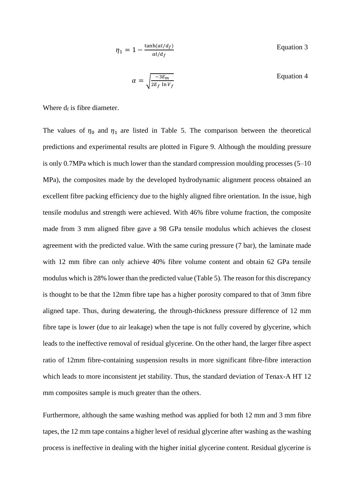$$
\eta_1 = 1 - \frac{\tanh(\alpha l/d_f)}{\alpha l/d_f}
$$
 Equation 3  

$$
\alpha = \sqrt{\frac{-3E_m}{2E \cdot \ln V_c}}
$$
Equation 4

Where  $d_f$  is fibre diameter.

The values of  $\eta_0$  and  $\eta_1$  are listed in Table 5. The comparison between the theoretical predictions and experimental results are plotted in [Figure 9.](#page-27-0) Although the moulding pressure is only 0.7MPa which is much lower than the standard compression moulding processes (5–10 MPa), the composites made by the developed hydrodynamic alignment process obtained an excellent fibre packing efficiency due to the highly aligned fibre orientation. In the issue, high tensile modulus and strength were achieved. With 46% fibre volume fraction, the composite made from 3 mm aligned fibre gave a 98 GPa tensile modulus which achieves the closest agreement with the predicted value. With the same curing pressure (7 bar), the laminate made with 12 mm fibre can only achieve 40% fibre volume content and obtain 62 GPa tensile modulus which is 28% lower than the predicted value (Table 5). The reason for this discrepancy is thought to be that the 12mm fibre tape has a higher porosity compared to that of 3mm fibre aligned tape. Thus, during dewatering, the through-thickness pressure difference of 12 mm fibre tape is lower (due to air leakage) when the tape is not fully covered by glycerine, which leads to the ineffective removal of residual glycerine. On the other hand, the larger fibre aspect ratio of 12mm fibre-containing suspension results in more significant fibre-fibre interaction which leads to more inconsistent jet stability. Thus, the standard deviation of Tenax-A HT 12 mm composites sample is much greater than the others.

 $2E_f \ln V_f$ 

Furthermore, although the same washing method was applied for both 12 mm and 3 mm fibre tapes, the 12 mm tape contains a higher level of residual glycerine after washing as the washing process is ineffective in dealing with the higher initial glycerine content. Residual glycerine is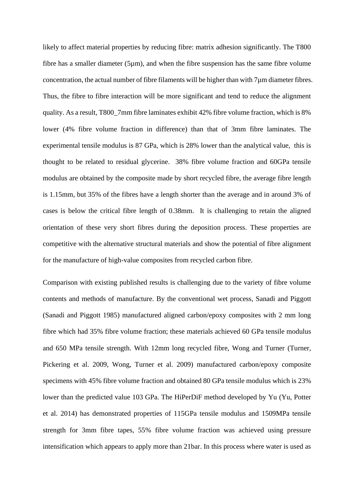likely to affect material properties by reducing fibre: matrix adhesion significantly. The T800 fibre has a smaller diameter (5µm), and when the fibre suspension has the same fibre volume concentration, the actual number of fibre filaments will be higher than with 7µm diameter fibres. Thus, the fibre to fibre interaction will be more significant and tend to reduce the alignment quality. As a result, T800\_7mm fibre laminates exhibit 42% fibre volume fraction, which is 8% lower (4% fibre volume fraction in difference) than that of 3mm fibre laminates. The experimental tensile modulus is 87 GPa, which is 28% lower than the analytical value, this is thought to be related to residual glycerine. 38% fibre volume fraction and 60GPa tensile modulus are obtained by the composite made by short recycled fibre, the average fibre length is 1.15mm, but 35% of the fibres have a length shorter than the average and in around 3% of cases is below the critical fibre length of 0.38mm. It is challenging to retain the aligned orientation of these very short fibres during the deposition process. These properties are competitive with the alternative structural materials and show the potential of fibre alignment for the manufacture of high-value composites from recycled carbon fibre.

Comparison with existing published results is challenging due to the variety of fibre volume contents and methods of manufacture. By the conventional wet process, Sanadi and Piggott (Sanadi and Piggott 1985) manufactured aligned carbon/epoxy composites with 2 mm long fibre which had 35% fibre volume fraction; these materials achieved 60 GPa tensile modulus and 650 MPa tensile strength. With 12mm long recycled fibre, Wong and Turner (Turner, Pickering et al. 2009, Wong, Turner et al. 2009) manufactured carbon/epoxy composite specimens with 45% fibre volume fraction and obtained 80 GPa tensile modulus which is 23% lower than the predicted value 103 GPa. The HiPerDiF method developed by Yu (Yu, Potter et al. 2014) has demonstrated properties of 115GPa tensile modulus and 1509MPa tensile strength for 3mm fibre tapes, 55% fibre volume fraction was achieved using pressure intensification which appears to apply more than 21bar. In this process where water is used as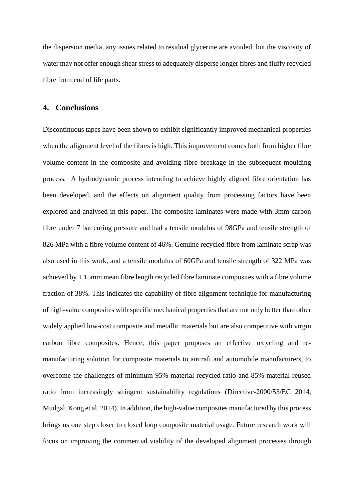the dispersion media, any issues related to residual glycerine are avoided, but the viscosity of water may not offer enough shear stress to adequately disperse longer fibres and fluffy recycled fibre from end of life parts.

#### **4. Conclusions**

Discontinuous tapes have been shown to exhibit significantly improved mechanical properties when the alignment level of the fibres is high. This improvement comes both from higher fibre volume content in the composite and avoiding fibre breakage in the subsequent moulding process. A hydrodynamic process intending to achieve highly aligned fibre orientation has been developed, and the effects on alignment quality from processing factors have been explored and analysed in this paper. The composite laminates were made with 3mm carbon fibre under 7 bar curing pressure and had a tensile modulus of 98GPa and tensile strength of 826 MPa with a fibre volume content of 46%. Genuine recycled fibre from laminate scrap was also used in this work, and a tensile modulus of 60GPa and tensile strength of 322 MPa was achieved by 1.15mm mean fibre length recycled fibre laminate composites with a fibre volume fraction of 38%. This indicates the capability of fibre alignment technique for manufacturing of high-value composites with specific mechanical properties that are not only better than other widely applied low-cost composite and metallic materials but are also competitive with virgin carbon fibre composites. Hence, this paper proposes an effective recycling and remanufacturing solution for composite materials to aircraft and automobile manufacturers, to overcome the challenges of minimum 95% material recycled ratio and 85% material reused ratio from increasingly stringent sustainability regulations (Directive-2000/53/EC 2014, Mudgal, Kong et al. 2014). In addition, the high-value composites manufactured by this process brings us one step closer to closed loop composite material usage. Future research work will focus on improving the commercial viability of the developed alignment processes through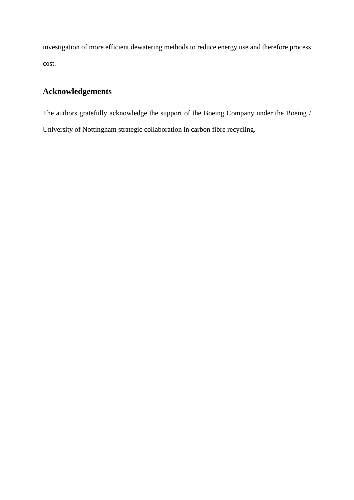investigation of more efficient dewatering methods to reduce energy use and therefore process cost.

## **Acknowledgements**

The authors gratefully acknowledge the support of the Boeing Company under the Boeing / University of Nottingham strategic collaboration in carbon fibre recycling.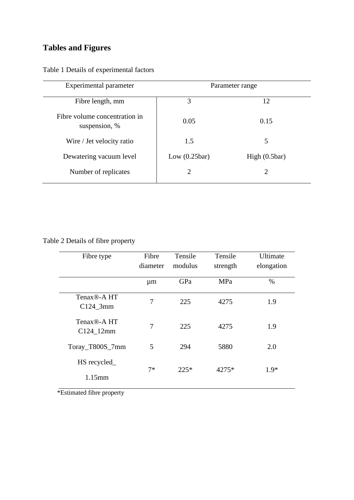# **Tables and Figures**

| Experimental parameter                         | Parameter range |               |  |  |
|------------------------------------------------|-----------------|---------------|--|--|
| Fibre length, mm                               | 3               | 12            |  |  |
| Fibre volume concentration in<br>suspension, % | 0.05            | 0.15          |  |  |
| Wire / Jet velocity ratio                      | 1.5             | 5             |  |  |
| Dewatering vacuum level                        | Low $(0.25bar)$ | High (0.5bar) |  |  |
| Number of replicates                           | $\overline{2}$  | 2             |  |  |

Table 1 Details of experimental factors

Table 2 Details of fibre property

| Fibre type                                         | Fibre<br>diameter | Tensile<br>modulus | Tensile<br>strength | Ultimate<br>elongation |
|----------------------------------------------------|-------------------|--------------------|---------------------|------------------------|
|                                                    | $\mu$ m           | GPa                | MPa                 | $\%$                   |
| Tenax <sup>®</sup> -A <sub>HT</sub><br>$C124\_3mm$ | 7                 | 225                | 4275                | 1.9                    |
| Tenax <sup>®</sup> -A HT<br>C124 12mm              | 7                 | 225                | 4275                | 1.9                    |
| Toray_T800S_7mm                                    | 5                 | 294                | 5880                | 2.0                    |
| HS recycled_<br>$1.15$ mm                          | $7*$              | $225*$             | 4275*               | $1.9*$                 |

\*Estimated fibre property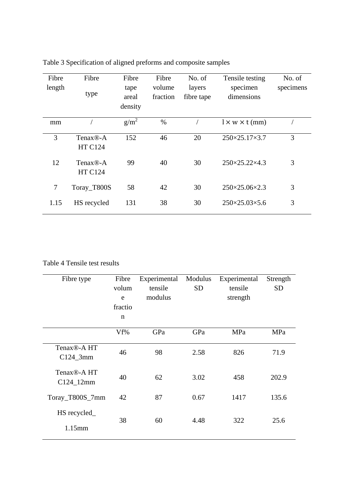| Fibre<br>length | Fibre<br>type                           | Fibre<br>tape<br>areal<br>density | Fibre<br>volume<br>fraction | No. of<br>layers<br>fibre tape | Tensile testing<br>specimen<br>dimensions | No. of<br>specimens |
|-----------------|-----------------------------------------|-----------------------------------|-----------------------------|--------------------------------|-------------------------------------------|---------------------|
| mm              |                                         | $g/m^2$                           | $\%$                        |                                | $l \times w \times t$ (mm)                |                     |
| 3               | Tenax <sup>®</sup> -A<br><b>HT C124</b> | 152                               | 46                          | 20                             | $250 \times 25.17 \times 3.7$             | 3                   |
| 12              | Tenax <sup>®</sup> -A<br><b>HT C124</b> | 99                                | 40                          | 30                             | $250 \times 25.22 \times 4.3$             | 3                   |
| 7               | Toray_T800S                             | 58                                | 42                          | 30                             | 250×25.06×2.3                             | 3                   |
| 1.15            | HS recycled                             | 131                               | 38                          | 30                             | $250 \times 25.03 \times 5.6$             | 3                   |

Table 3 Specification of aligned preforms and composite samples

Table 4 Tensile test results

| Fibre type                              | Fibre<br>volum<br>e<br>fractio<br>$\mathbf n$ | Experimental<br>tensile<br>modulus | Modulus<br><b>SD</b> | Experimental<br>tensile<br>strength | Strength<br><b>SD</b> |
|-----------------------------------------|-----------------------------------------------|------------------------------------|----------------------|-------------------------------------|-----------------------|
|                                         | Vf%                                           | GPa                                | GPa                  | MPa                                 | MPa                   |
| Tenax <sup>®</sup> -A HT<br>$C124$ _3mm | 46                                            | 98                                 | 2.58                 | 826                                 | 71.9                  |
| Tenax <sup>®</sup> -A HT<br>C124_12mm   | 40                                            | 62                                 | 3.02                 | 458                                 | 202.9                 |
| Toray_T800S_7mm                         | 42                                            | 87                                 | 0.67                 | 1417                                | 135.6                 |
| HS recycled_<br>$1.15$ mm               | 38                                            | 60                                 | 4.48                 | 322                                 | 25.6                  |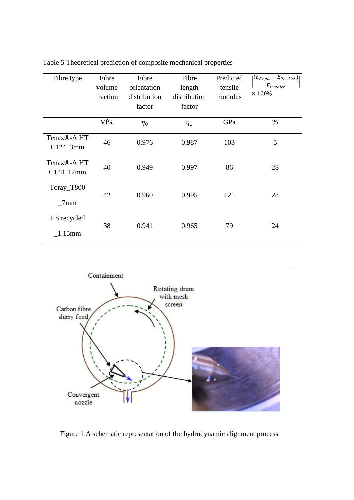| Fibre type                              | Fibre<br>volume<br>fraction | Fibre<br>orientation<br>distribution<br>factor | Fibre<br>length<br>distribution<br>factor | Predicted<br>tensile<br>modulus | $(E_{Expt.} - E_{Predict})$<br>$E_{Predict}$<br>$\times$ 100% |
|-----------------------------------------|-----------------------------|------------------------------------------------|-------------------------------------------|---------------------------------|---------------------------------------------------------------|
|                                         | Vf%                         | $\eta_0$                                       | $\eta_1$                                  | GPa                             | $\%$                                                          |
| Tenax <sup>®</sup> -A HT<br>$C124$ _3mm | 46                          | 0.976                                          | 0.987                                     | 103                             | 5                                                             |
| Tenax <sup>®</sup> -A HT<br>C124_12mm   | 40                          | 0.949                                          | 0.997                                     | 86                              | 28                                                            |
| Toray_T800<br>7mm                       | 42                          | 0.960                                          | 0.995                                     | 121                             | 28                                                            |
| HS recycled<br>$1.15$ mm                | 38                          | 0.941                                          | 0.965                                     | 79                              | 24                                                            |

Table 5 Theoretical prediction of composite mechanical properties



<span id="page-20-0"></span>Figure 1 A schematic representation of the hydrodynamic alignment process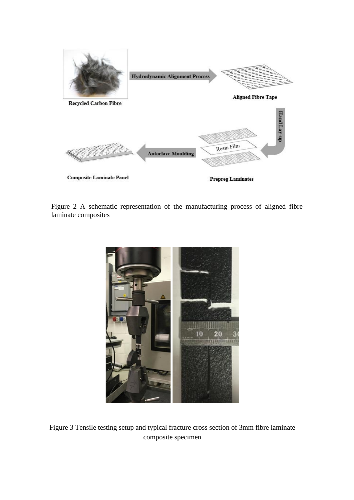

<span id="page-21-0"></span>Figure 2 A schematic representation of the manufacturing process of aligned fibre laminate composites



<span id="page-21-1"></span>Figure 3 Tensile testing setup and typical fracture cross section of 3mm fibre laminate composite specimen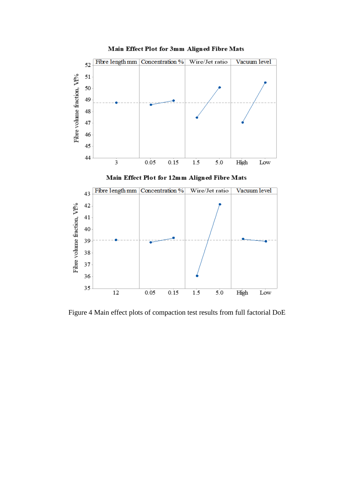

Main Effect Plot for 3mm Aligned Fibre Mats

Figure 4 Main effect plots of compaction test results from full factorial DoE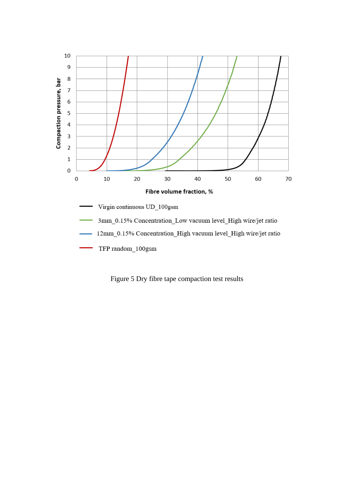

TFP random\_100gsm

Figure 5 Dry fibre tape compaction test results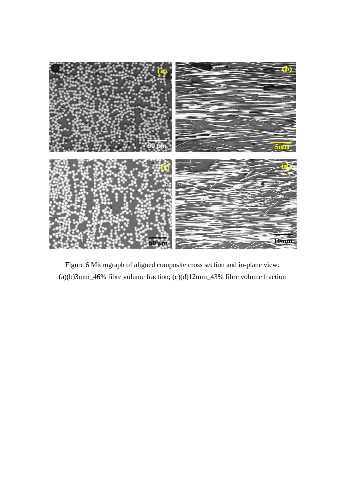<span id="page-24-0"></span>

Figure 6 Micrograph of aligned composite cross section and in-plane view: (a)(b)3mm\_46% fibre volume fraction; (c)(d)12mm\_43% fibre volume fraction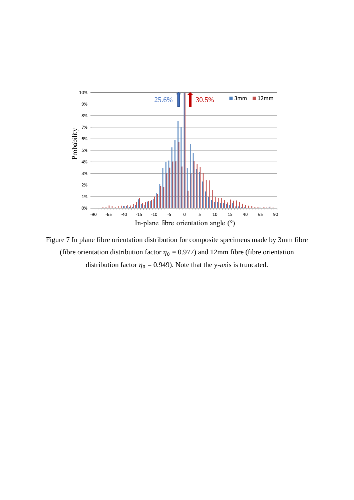

Figure 7 In plane fibre orientation distribution for composite specimens made by 3mm fibre (fibre orientation distribution factor  $\eta_0 = 0.977$ ) and 12mm fibre (fibre orientation distribution factor  $\eta_0 = 0.949$ ). Note that the y-axis is truncated.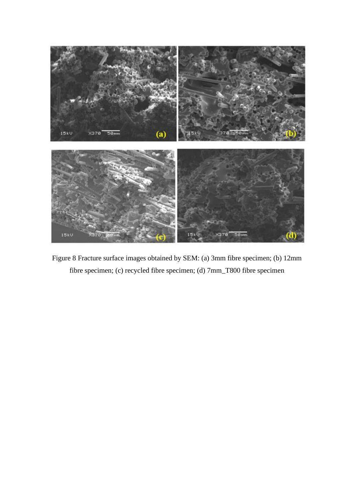<span id="page-26-0"></span>

Figure 8 Fracture surface images obtained by SEM: (a) 3mm fibre specimen; (b) 12mm fibre specimen; (c) recycled fibre specimen; (d) 7mm\_T800 fibre specimen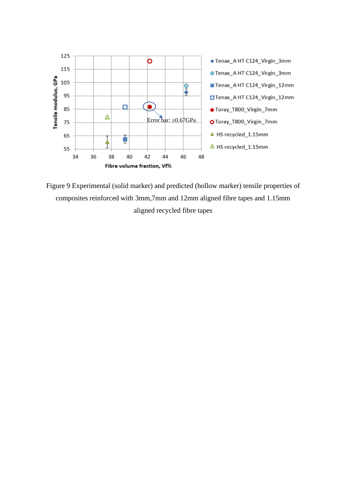

<span id="page-27-0"></span>Figure 9 Experimental (solid marker) and predicted (hollow marker) tensile properties of composites reinforced with 3mm,7mm and 12mm aligned fibre tapes and 1.15mm aligned recycled fibre tapes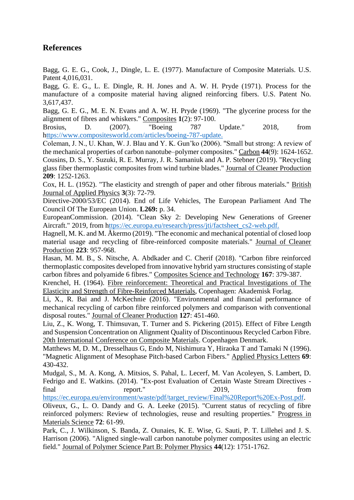### **References**

Bagg, G. E. G., Cook, J., Dingle, L. E. (1977). Manufacture of Composite Materials. U.S. Patent 4,016,031.

Bagg, G. E. G., L. E. Dingle, R. H. Jones and A. W. H. Pryde (1971). Process for the manufacture of a composite material having aligned reinforcing fibers. U.S. Patent No. 3,617,437.

Bagg, G. E. G., M. E. N. Evans and A. W. H. Pryde (1969). "The glycerine process for the alignment of fibres and whiskers." Composites **1**(2): 97-100.

Brosius, D. (2007). "Boeing 787 Update." 2018, from [https://www.compositesworld.com/articles/boeing-787-update.](ttps://www.compositesworld.com/articles/boeing-787-update.)

Coleman, J. N., U. Khan, W. J. Blau and Y. K. Gun'ko (2006). "Small but strong: A review of the mechanical properties of carbon nanotube–polymer composites." Carbon **44**(9): 1624-1652. Cousins, D. S., Y. Suzuki, R. E. Murray, J. R. Samaniuk and A. P. Stebner (2019). "Recycling glass fiber thermoplastic composites from wind turbine blades." Journal of Cleaner Production **209**: 1252-1263.

Cox, H. L. (1952). "The elasticity and strength of paper and other fibrous materials." British Journal of Applied Physics **3**(3): 72-79.

Directive-2000/53/EC (2014). End of Life Vehicles, The European Parliament And The Council Of The European Union. **L269:** p. 34.

EuropeanCommission. (2014). "Clean Sky 2: Developing New Generations of Greener Aircraft." 2019, from [https://ec.europa.eu/research/press/jti/factsheet\\_cs2-web.pdf.](ttps://ec.europa.eu/research/press/jti/factsheet_cs2-web.pdf.)

Hagnell, M. K. and M. Åkermo (2019). "The economic and mechanical potential of closed loop material usage and recycling of fibre-reinforced composite materials." Journal of Cleaner Production **223**: 957-968.

Hasan, M. M. B., S. Nitsche, A. Abdkader and C. Cherif (2018). "Carbon fibre reinforced thermoplastic composites developed from innovative hybrid yarn structures consisting of staple carbon fibres and polyamide 6 fibres." Composites Science and Technology **167**: 379-387.

Krenchel, H. (1964). Fibre reinforcement: Theoretical and Practical Investigations of The Elasticity and Strength of Fibre-Reinforced Materials, Copenhagen: Akademisk Forlag.

Li, X., R. Bai and J. McKechnie (2016). "Environmental and financial performance of mechanical recycling of carbon fibre reinforced polymers and comparison with conventional disposal routes." Journal of Cleaner Production **127**: 451-460.

Liu, Z., K. Wong, T. Thimsuvan, T. Turner and S. Pickering (2015). Effect of Fibre Length and Suspension Concentration on Alignment Quality of Discontinuous Recycled Carbon Fibre. 20th International Conference on Composite Materials. Copenhagen Denmark.

Matthews M, D. M., Dresselhaus G, Endo M, Nishimura Y, Hiraoka T and Tamaki N (1996). "Magnetic Alignment of Mesophase Pitch-based Carbon Fibers." Applied Physics Letters **69**: 430-432.

Mudgal, S., M. A. Kong, A. Mitsios, S. Pahal, L. Lecerf, M. Van Acoleyen, S. Lambert, D. Fedrigo and E. Watkins. (2014). "Ex-post Evaluation of Certain Waste Stream Directives final report." 2019, from

[https://ec.europa.eu/environment/waste/pdf/target\\_review/Final%20Report%20Ex-Post.pdf.](https://ec.europa.eu/environment/waste/pdf/target_review/Final%20Report%20Ex-Post.pdf)

Oliveux, G., L. O. Dandy and G. A. Leeke (2015). "Current status of recycling of fibre reinforced polymers: Review of technologies, reuse and resulting properties." Progress in Materials Science **72**: 61-99.

Park, C., J. Wilkinson, S. Banda, Z. Ounaies, K. E. Wise, G. Sauti, P. T. Lillehei and J. S. Harrison (2006). "Aligned single-wall carbon nanotube polymer composites using an electric field." Journal of Polymer Science Part B: Polymer Physics **44**(12): 1751-1762.